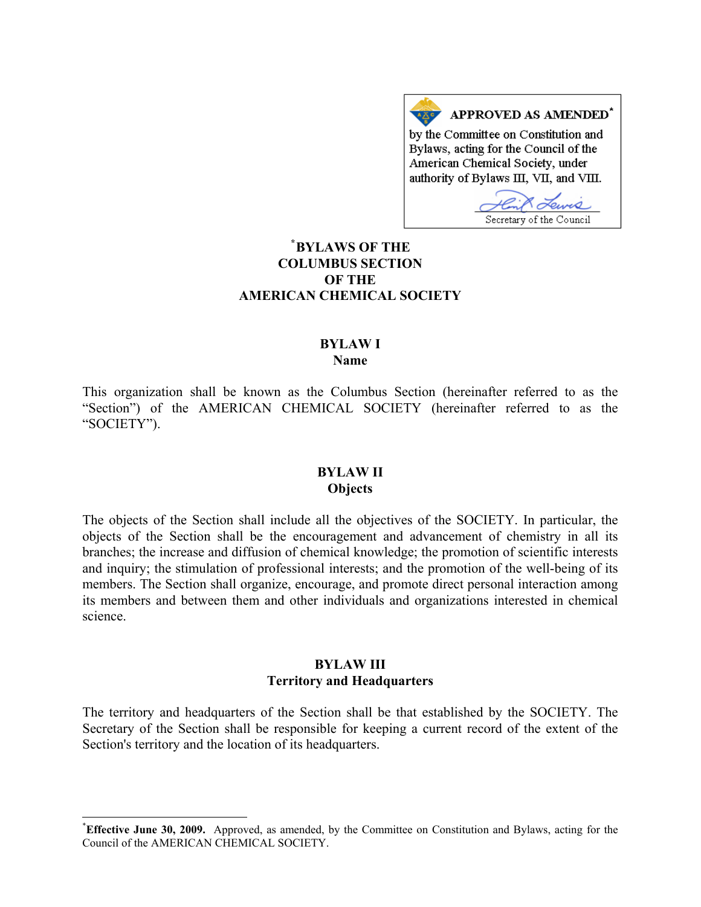

## **[\\*](#page-0-0) BYLAWS OF THE COLUMBUS SECTION OF THE AMERICAN CHEMICAL SOCIETY**

#### **BYLAW I Name**

This organization shall be known as the Columbus Section (hereinafter referred to as the "Section") of the AMERICAN CHEMICAL SOCIETY (hereinafter referred to as the "SOCIETY").

#### **BYLAW II Objects**

The objects of the Section shall include all the objectives of the SOCIETY. In particular, the objects of the Section shall be the encouragement and advancement of chemistry in all its branches; the increase and diffusion of chemical knowledge; the promotion of scientific interests and inquiry; the stimulation of professional interests; and the promotion of the well-being of its members. The Section shall organize, encourage, and promote direct personal interaction among its members and between them and other individuals and organizations interested in chemical science.

### **BYLAW III Territory and Headquarters**

The territory and headquarters of the Section shall be that established by the SOCIETY. The Secretary of the Section shall be responsible for keeping a current record of the extent of the Section's territory and the location of its headquarters.

 $\overline{a}$ 

<span id="page-0-0"></span><sup>\*</sup> **Effective June 30, 2009.** Approved, as amended, by the Committee on Constitution and Bylaws, acting for the Council of the AMERICAN CHEMICAL SOCIETY.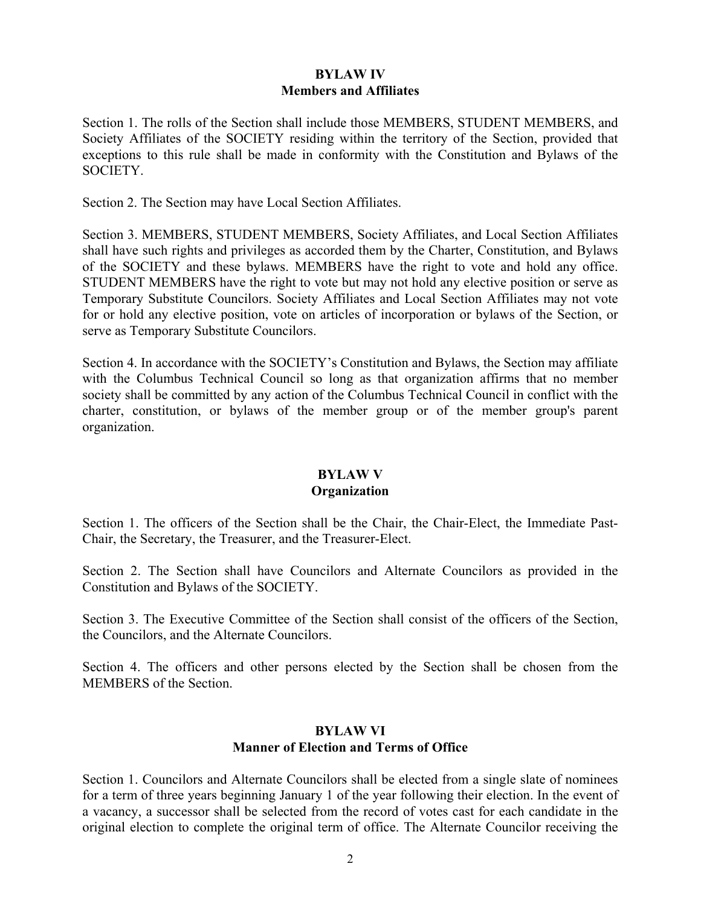# **BYLAW IV Members and Affiliates**

Section 1. The rolls of the Section shall include those MEMBERS, STUDENT MEMBERS, and Society Affiliates of the SOCIETY residing within the territory of the Section, provided that exceptions to this rule shall be made in conformity with the Constitution and Bylaws of the SOCIETY.

Section 2. The Section may have Local Section Affiliates.

Section 3. MEMBERS, STUDENT MEMBERS, Society Affiliates, and Local Section Affiliates shall have such rights and privileges as accorded them by the Charter, Constitution, and Bylaws of the SOCIETY and these bylaws. MEMBERS have the right to vote and hold any office. STUDENT MEMBERS have the right to vote but may not hold any elective position or serve as Temporary Substitute Councilors. Society Affiliates and Local Section Affiliates may not vote for or hold any elective position, vote on articles of incorporation or bylaws of the Section, or serve as Temporary Substitute Councilors.

Section 4. In accordance with the SOCIETY's Constitution and Bylaws, the Section may affiliate with the Columbus Technical Council so long as that organization affirms that no member society shall be committed by any action of the Columbus Technical Council in conflict with the charter, constitution, or bylaws of the member group or of the member group's parent organization.

## **BYLAW V Organization**

Section 1. The officers of the Section shall be the Chair, the Chair-Elect, the Immediate Past-Chair, the Secretary, the Treasurer, and the Treasurer-Elect.

Section 2. The Section shall have Councilors and Alternate Councilors as provided in the Constitution and Bylaws of the SOCIETY.

Section 3. The Executive Committee of the Section shall consist of the officers of the Section, the Councilors, and the Alternate Councilors.

Section 4. The officers and other persons elected by the Section shall be chosen from the MEMBERS of the Section.

#### **BYLAW VI Manner of Election and Terms of Office**

Section 1. Councilors and Alternate Councilors shall be elected from a single slate of nominees for a term of three years beginning January 1 of the year following their election. In the event of a vacancy, a successor shall be selected from the record of votes cast for each candidate in the original election to complete the original term of office. The Alternate Councilor receiving the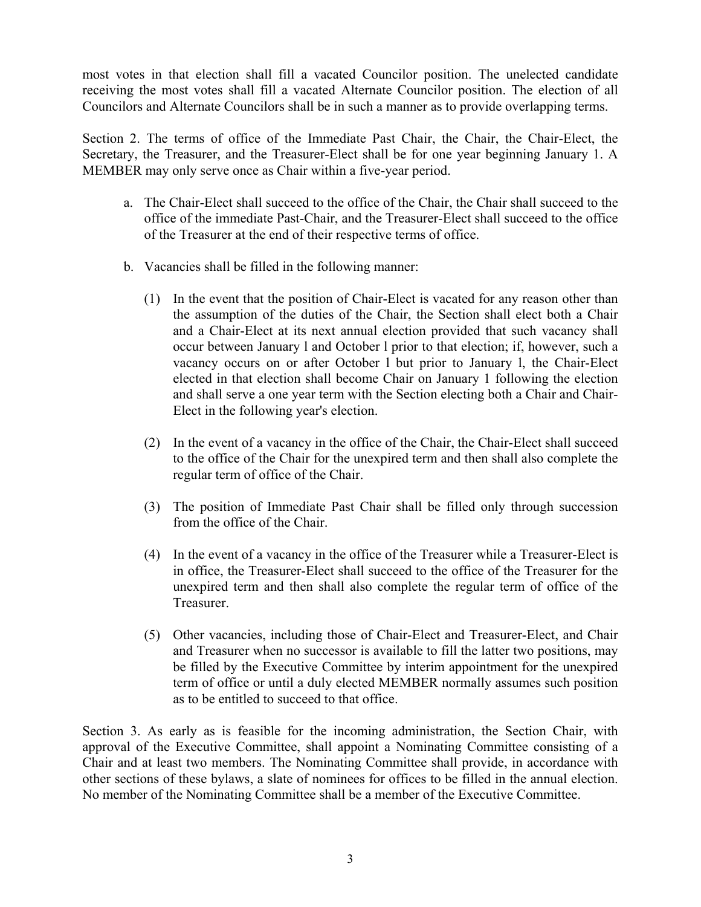most votes in that election shall fill a vacated Councilor position. The unelected candidate receiving the most votes shall fill a vacated Alternate Councilor position. The election of all Councilors and Alternate Councilors shall be in such a manner as to provide overlapping terms.

Section 2. The terms of office of the Immediate Past Chair, the Chair, the Chair-Elect, the Secretary, the Treasurer, and the Treasurer-Elect shall be for one year beginning January 1. A MEMBER may only serve once as Chair within a five-year period.

- a. The Chair-Elect shall succeed to the office of the Chair, the Chair shall succeed to the office of the immediate Past-Chair, and the Treasurer-Elect shall succeed to the office of the Treasurer at the end of their respective terms of office.
- b. Vacancies shall be filled in the following manner:
	- (1) In the event that the position of Chair-Elect is vacated for any reason other than the assumption of the duties of the Chair, the Section shall elect both a Chair and a Chair-Elect at its next annual election provided that such vacancy shall occur between January l and October l prior to that election; if, however, such a vacancy occurs on or after October l but prior to January l, the Chair-Elect elected in that election shall become Chair on January 1 following the election and shall serve a one year term with the Section electing both a Chair and Chair-Elect in the following year's election.
	- (2) In the event of a vacancy in the office of the Chair, the Chair-Elect shall succeed to the office of the Chair for the unexpired term and then shall also complete the regular term of office of the Chair.
	- (3) The position of Immediate Past Chair shall be filled only through succession from the office of the Chair.
	- (4) In the event of a vacancy in the office of the Treasurer while a Treasurer-Elect is in office, the Treasurer-Elect shall succeed to the office of the Treasurer for the unexpired term and then shall also complete the regular term of office of the Treasurer.
	- (5) Other vacancies, including those of Chair-Elect and Treasurer-Elect, and Chair and Treasurer when no successor is available to fill the latter two positions, may be filled by the Executive Committee by interim appointment for the unexpired term of office or until a duly elected MEMBER normally assumes such position as to be entitled to succeed to that office.

Section 3. As early as is feasible for the incoming administration, the Section Chair, with approval of the Executive Committee, shall appoint a Nominating Committee consisting of a Chair and at least two members. The Nominating Committee shall provide, in accordance with other sections of these bylaws, a slate of nominees for offices to be filled in the annual election. No member of the Nominating Committee shall be a member of the Executive Committee.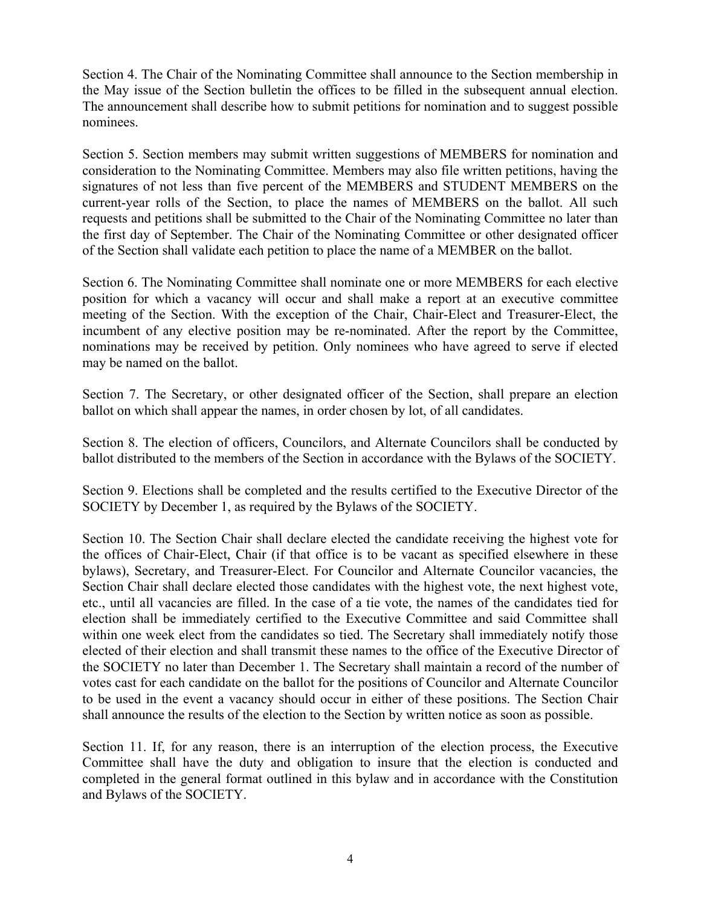Section 4. The Chair of the Nominating Committee shall announce to the Section membership in the May issue of the Section bulletin the offices to be filled in the subsequent annual election. The announcement shall describe how to submit petitions for nomination and to suggest possible nominees.

Section 5. Section members may submit written suggestions of MEMBERS for nomination and consideration to the Nominating Committee. Members may also file written petitions, having the signatures of not less than five percent of the MEMBERS and STUDENT MEMBERS on the current-year rolls of the Section, to place the names of MEMBERS on the ballot. All such requests and petitions shall be submitted to the Chair of the Nominating Committee no later than the first day of September. The Chair of the Nominating Committee or other designated officer of the Section shall validate each petition to place the name of a MEMBER on the ballot.

Section 6. The Nominating Committee shall nominate one or more MEMBERS for each elective position for which a vacancy will occur and shall make a report at an executive committee meeting of the Section. With the exception of the Chair, Chair-Elect and Treasurer-Elect, the incumbent of any elective position may be re-nominated. After the report by the Committee, nominations may be received by petition. Only nominees who have agreed to serve if elected may be named on the ballot.

Section 7. The Secretary, or other designated officer of the Section, shall prepare an election ballot on which shall appear the names, in order chosen by lot, of all candidates.

Section 8. The election of officers, Councilors, and Alternate Councilors shall be conducted by ballot distributed to the members of the Section in accordance with the Bylaws of the SOCIETY.

Section 9. Elections shall be completed and the results certified to the Executive Director of the SOCIETY by December 1, as required by the Bylaws of the SOCIETY.

Section 10. The Section Chair shall declare elected the candidate receiving the highest vote for the offices of Chair-Elect, Chair (if that office is to be vacant as specified elsewhere in these bylaws), Secretary, and Treasurer-Elect. For Councilor and Alternate Councilor vacancies, the Section Chair shall declare elected those candidates with the highest vote, the next highest vote, etc., until all vacancies are filled. In the case of a tie vote, the names of the candidates tied for election shall be immediately certified to the Executive Committee and said Committee shall within one week elect from the candidates so tied. The Secretary shall immediately notify those elected of their election and shall transmit these names to the office of the Executive Director of the SOCIETY no later than December 1. The Secretary shall maintain a record of the number of votes cast for each candidate on the ballot for the positions of Councilor and Alternate Councilor to be used in the event a vacancy should occur in either of these positions. The Section Chair shall announce the results of the election to the Section by written notice as soon as possible.

Section 11. If, for any reason, there is an interruption of the election process, the Executive Committee shall have the duty and obligation to insure that the election is conducted and completed in the general format outlined in this bylaw and in accordance with the Constitution and Bylaws of the SOCIETY.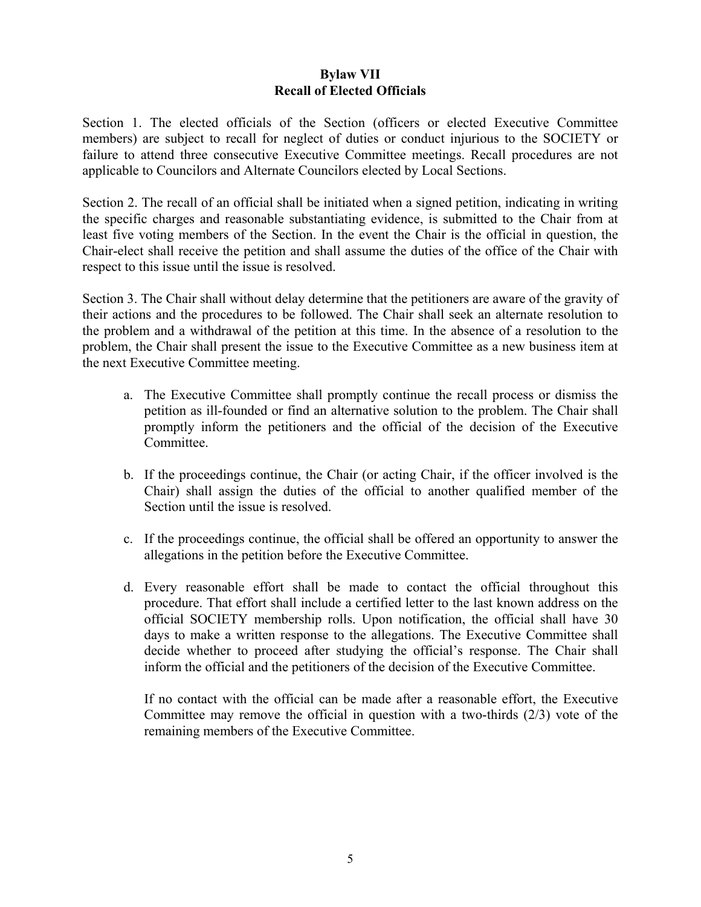## **Bylaw VII Recall of Elected Officials**

Section 1. The elected officials of the Section (officers or elected Executive Committee members) are subject to recall for neglect of duties or conduct injurious to the SOCIETY or failure to attend three consecutive Executive Committee meetings. Recall procedures are not applicable to Councilors and Alternate Councilors elected by Local Sections.

Section 2. The recall of an official shall be initiated when a signed petition, indicating in writing the specific charges and reasonable substantiating evidence, is submitted to the Chair from at least five voting members of the Section. In the event the Chair is the official in question, the Chair-elect shall receive the petition and shall assume the duties of the office of the Chair with respect to this issue until the issue is resolved.

Section 3. The Chair shall without delay determine that the petitioners are aware of the gravity of their actions and the procedures to be followed. The Chair shall seek an alternate resolution to the problem and a withdrawal of the petition at this time. In the absence of a resolution to the problem, the Chair shall present the issue to the Executive Committee as a new business item at the next Executive Committee meeting.

- a. The Executive Committee shall promptly continue the recall process or dismiss the petition as ill-founded or find an alternative solution to the problem. The Chair shall promptly inform the petitioners and the official of the decision of the Executive Committee.
- b. If the proceedings continue, the Chair (or acting Chair, if the officer involved is the Chair) shall assign the duties of the official to another qualified member of the Section until the issue is resolved.
- c. If the proceedings continue, the official shall be offered an opportunity to answer the allegations in the petition before the Executive Committee.
- d. Every reasonable effort shall be made to contact the official throughout this procedure. That effort shall include a certified letter to the last known address on the official SOCIETY membership rolls. Upon notification, the official shall have 30 days to make a written response to the allegations. The Executive Committee shall decide whether to proceed after studying the official's response. The Chair shall inform the official and the petitioners of the decision of the Executive Committee.

If no contact with the official can be made after a reasonable effort, the Executive Committee may remove the official in question with a two-thirds (2/3) vote of the remaining members of the Executive Committee.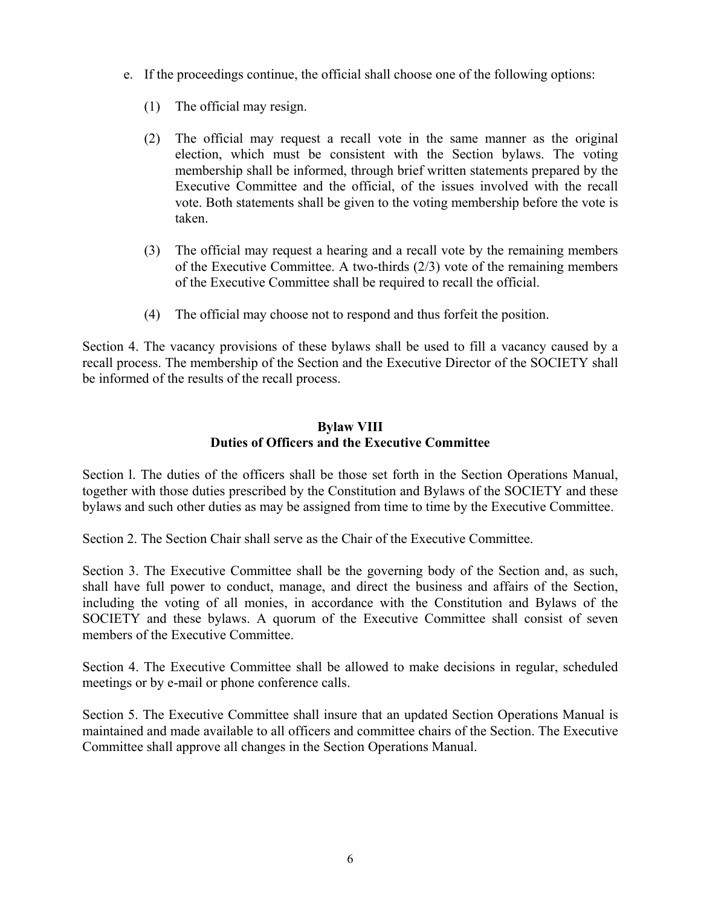- e. If the proceedings continue, the official shall choose one of the following options:
	- (1) The official may resign.
	- (2) The official may request a recall vote in the same manner as the original election, which must be consistent with the Section bylaws. The voting membership shall be informed, through brief written statements prepared by the Executive Committee and the official, of the issues involved with the recall vote. Both statements shall be given to the voting membership before the vote is taken.
	- (3) The official may request a hearing and a recall vote by the remaining members of the Executive Committee. A two-thirds (2/3) vote of the remaining members of the Executive Committee shall be required to recall the official.
	- (4) The official may choose not to respond and thus forfeit the position.

Section 4. The vacancy provisions of these bylaws shall be used to fill a vacancy caused by a recall process. The membership of the Section and the Executive Director of the SOCIETY shall be informed of the results of the recall process.

# **Bylaw VIII Duties of Officers and the Executive Committee**

Section l. The duties of the officers shall be those set forth in the Section Operations Manual, together with those duties prescribed by the Constitution and Bylaws of the SOCIETY and these bylaws and such other duties as may be assigned from time to time by the Executive Committee.

Section 2. The Section Chair shall serve as the Chair of the Executive Committee.

Section 3. The Executive Committee shall be the governing body of the Section and, as such, shall have full power to conduct, manage, and direct the business and affairs of the Section, including the voting of all monies, in accordance with the Constitution and Bylaws of the SOCIETY and these bylaws. A quorum of the Executive Committee shall consist of seven members of the Executive Committee.

Section 4. The Executive Committee shall be allowed to make decisions in regular, scheduled meetings or by e-mail or phone conference calls.

Section 5. The Executive Committee shall insure that an updated Section Operations Manual is maintained and made available to all officers and committee chairs of the Section. The Executive Committee shall approve all changes in the Section Operations Manual.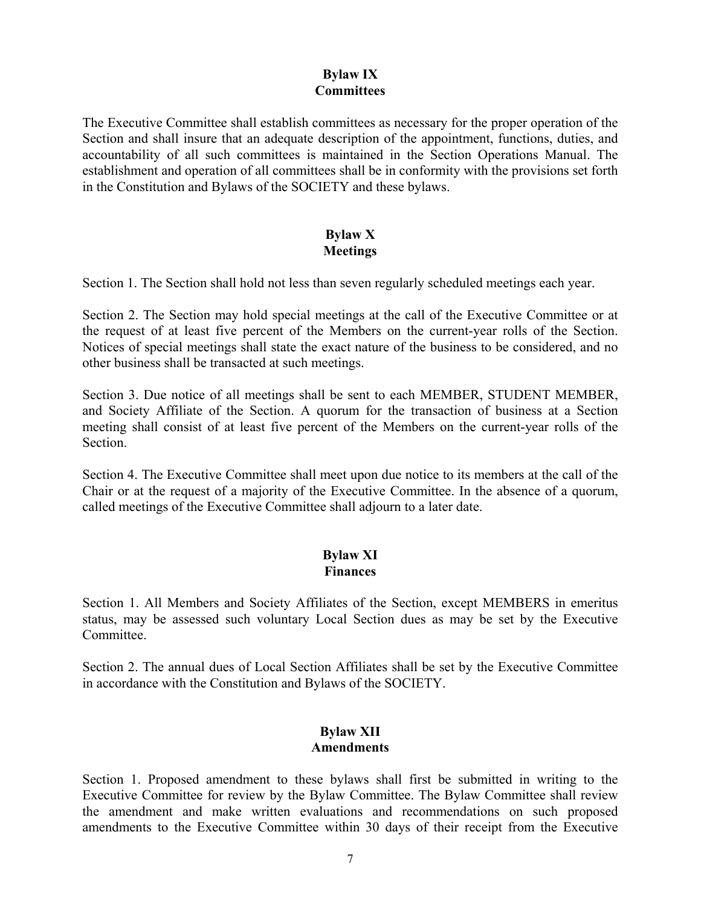### **Bylaw IX Committees**

The Executive Committee shall establish committees as necessary for the proper operation of the Section and shall insure that an adequate description of the appointment, functions, duties, and accountability of all such committees is maintained in the Section Operations Manual. The establishment and operation of all committees shall be in conformity with the provisions set forth in the Constitution and Bylaws of the SOCIETY and these bylaws.

### **Bylaw X Meetings**

Section 1. The Section shall hold not less than seven regularly scheduled meetings each year.

Section 2. The Section may hold special meetings at the call of the Executive Committee or at the request of at least five percent of the Members on the current-year rolls of the Section. Notices of special meetings shall state the exact nature of the business to be considered, and no other business shall be transacted at such meetings.

Section 3. Due notice of all meetings shall be sent to each MEMBER, STUDENT MEMBER, and Society Affiliate of the Section. A quorum for the transaction of business at a Section meeting shall consist of at least five percent of the Members on the current-year rolls of the **Section** 

Section 4. The Executive Committee shall meet upon due notice to its members at the call of the Chair or at the request of a majority of the Executive Committee. In the absence of a quorum, called meetings of the Executive Committee shall adjourn to a later date.

### **Bylaw XI Finances**

Section 1. All Members and Society Affiliates of the Section, except MEMBERS in emeritus status, may be assessed such voluntary Local Section dues as may be set by the Executive Committee.

Section 2. The annual dues of Local Section Affiliates shall be set by the Executive Committee in accordance with the Constitution and Bylaws of the SOCIETY.

## **Bylaw XII Amendments**

Section 1. Proposed amendment to these bylaws shall first be submitted in writing to the Executive Committee for review by the Bylaw Committee. The Bylaw Committee shall review the amendment and make written evaluations and recommendations on such proposed amendments to the Executive Committee within 30 days of their receipt from the Executive